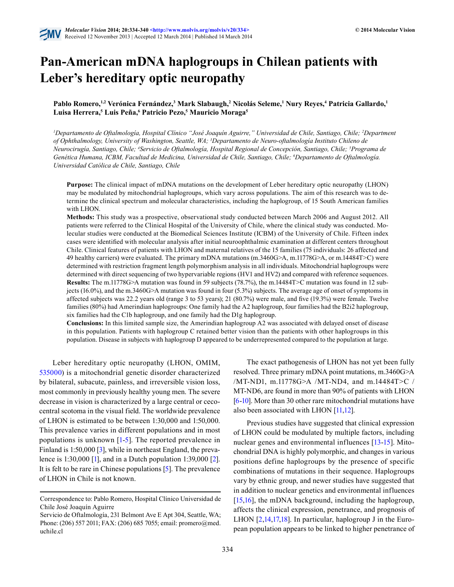

# **Pan-American mDNA haplogroups in Chilean patients with Leber's hereditary optic neuropathy**

Pablo Romero,<sup>1,2</sup> Verónica Fernández,<sup>3</sup> Mark Slabaugh,<sup>2</sup> Nicolás Seleme,<sup>1</sup> Nury Reyes,<sup>4</sup> Patricia Gallardo,<sup>1</sup> Luisa Herrera,<sup>5</sup> Luis Peña,<sup>6</sup> Patricio Pezo,<sup>5</sup> Mauricio Moraga<sup>5</sup>

*1 Departamento de Oftalmología, Hospital Clínico "José Joaquín Aguirre," Universidad de Chile, Santiago, Chile; 2 Department of Ophthalmology, University of Washington, Seattle, WA; 3 Departamento de Neuro-oftalmología Instituto Chileno de Neurocirugía, Santiago, Chile; 4 Servicio de Oftalmología, Hospital Regional de Concepción, Santiago, Chile; 5 Programa de Genética Humana, ICBM, Facultad de Medicina, Universidad de Chile, Santiago, Chile; 6 Departamento de Oftalmología. Universidad Católica de Chile, Santiago, Chile*

**Purpose:** The clinical impact of mDNA mutations on the development of Leber hereditary optic neuropathy (LHON) may be modulated by mitochondrial haplogroups, which vary across populations. The aim of this research was to determine the clinical spectrum and molecular characteristics, including the haplogroup, of 15 South American families with LHON.

**Methods:** This study was a prospective, observational study conducted between March 2006 and August 2012. All patients were referred to the Clinical Hospital of the University of Chile, where the clinical study was conducted. Molecular studies were conducted at the Biomedical Sciences Institute (ICBM) of the University of Chile. Fifteen index cases were identified with molecular analysis after initial neuroophthalmic examination at different centers throughout Chile. Clinical features of patients with LHON and maternal relatives of the 15 families (75 individuals: 26 affected and 49 healthy carriers) were evaluated. The primary mDNA mutations (m.3460G>A, m.11778G>A, or m.14484T>C) were determined with restriction fragment length polymorphism analysis in all individuals. Mitochondrial haplogroups were determined with direct sequencing of two hypervariable regions (HV1 and HV2) and compared with reference sequences. **Results:** The m.11778G>A mutation was found in 59 subjects (78.7%), the m.14484T>C mutation was found in 12 subjects (16.0%), and the m.3460G>A mutation was found in four (5.3%) subjects. The average age of onset of symptoms in affected subjects was 22.2 years old (range 3 to 53 years); 21 (80.7%) were male, and five (19.3%) were female. Twelve families (80%) had Amerindian haplogroups: One family had the A2 haplogroup, four families had the B2i2 haplogroup, six families had the C1b haplogroup, and one family had the D1g haplogroup.

**Conclusions:** In this limited sample size, the Amerindian haplogroup A2 was associated with delayed onset of disease in this population. Patients with haplogroup C retained better vision than the patients with other haplogroups in this population. Disease in subjects with haplogroup D appeared to be underrepresented compared to the population at large.

Leber hereditary optic neuropathy (LHON, OMIM, [535000](http://omim.org/entry/535000)) is a mitochondrial genetic disorder characterized by bilateral, subacute, painless, and irreversible vision loss, most commonly in previously healthy young men. The severe decrease in vision is characterized by a large central or cecocentral scotoma in the visual field. The worldwide prevalence of LHON is estimated to be between 1:30,000 and 1:50,000. This prevalence varies in different populations and in most populations is unknown  $[1-5]$  $[1-5]$ . The reported prevalence in Finland is 1:50,000 [[3](#page-5-1)], while in northeast England, the prevalence is 1:30,000 [\[1\]](#page-4-0), and in a Dutch population 1:39,000 [[2](#page-4-1)]. It is felt to be rare in Chinese populations [\[5\]](#page-5-0). The prevalence of LHON in Chile is not known.

The exact pathogenesis of LHON has not yet been fully resolved. Three primary mDNA point mutations, m.3460G>A /MT-ND1, m.11778G>A /MT-ND4, and m.14484T>C / MT-ND6, are found in more than 90% of patients with LHON [\[6](#page-5-2)[-10](#page-5-3)]. More than 30 other rare mitochondrial mutations have also been associated with LHON [\[11](#page-5-4)[,12](#page-5-5)].

Previous studies have suggested that clinical expression of LHON could be modulated by multiple factors, including nuclear genes and environmental influences [\[13](#page-5-6)[-15\]](#page-5-7). Mitochondrial DNA is highly polymorphic, and changes in various positions define haplogroups by the presence of specific combinations of mutations in their sequence. Haplogroups vary by ethnic group, and newer studies have suggested that in addition to nuclear genetics and environmental influences [\[15,](#page-5-7)[16](#page-5-8)], the mDNA background, including the haplogroup, affects the clinical expression, penetrance, and prognosis of LHON [\[2](#page-4-1)[,14,](#page-5-9)[17,](#page-5-10)[18\]](#page-5-11). In particular, haplogroup J in the European population appears to be linked to higher penetrance of

Correspondence to: Pablo Romero, Hospital Clínico Universidad de Chile José Joaquín Aguirre

Servicio de Oftalmología, 231 Belmont Ave E Apt 304, Seattle, WA; Phone: (206) 557 2011; FAX: (206) 685 7055; email: promero@med. uchile.cl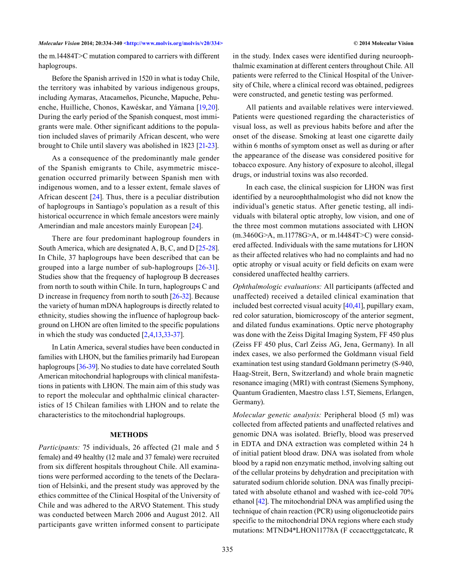the m.14484T>C mutation compared to carriers with different haplogroups.

Before the Spanish arrived in 1520 in what is today Chile, the territory was inhabited by various indigenous groups, including Aymaras, Atacameños, Picunche, Mapuche, Pehuenche, Huilliche, Chonos, Kawéskar, and Yámana [\[19,](#page-5-12)[20](#page-5-13)]. During the early period of the Spanish conquest, most immigrants were male. Other significant additions to the population included slaves of primarily African descent, who were brought to Chile until slavery was abolished in 1823 [\[21](#page-5-14)[-23\]](#page-5-15).

As a consequence of the predominantly male gender of the Spanish emigrants to Chile, asymmetric miscegenation occurred primarily between Spanish men with indigenous women, and to a lesser extent, female slaves of African descent [[24](#page-5-16)]. Thus, there is a peculiar distribution of haplogroups in Santiago's population as a result of this historical occurrence in which female ancestors were mainly Amerindian and male ancestors mainly European [\[24](#page-5-16)].

There are four predominant haplogroup founders in South America, which are designated A, B, C, and D [[25-](#page-5-17)[28](#page-5-18)]. In Chile, 37 haplogroups have been described that can be grouped into a large number of sub-haplogroups [\[26](#page-5-19)[-31](#page-6-0)]. Studies show that the frequency of haplogroup B decreases from north to south within Chile. In turn, haplogroups C and D increase in frequency from north to south [\[26](#page-5-19)[-32\]](#page-6-1). Because the variety of human mDNA haplogroups is directly related to ethnicity, studies showing the influence of haplogroup background on LHON are often limited to the specific populations in which the study was conducted [\[2](#page-4-1),[4](#page-5-20)[,13](#page-5-6),[33-](#page-6-2)[37](#page-6-3)].

In Latin America, several studies have been conducted in families with LHON, but the families primarily had European haplogroups [\[36](#page-6-4)[-39](#page-6-5)]. No studies to date have correlated South American mitochondrial haplogroups with clinical manifestations in patients with LHON. The main aim of this study was to report the molecular and ophthalmic clinical characteristics of 15 Chilean families with LHON and to relate the characteristics to the mitochondrial haplogroups.

### **METHODS**

*Participants:* 75 individuals, 26 affected (21 male and 5 female) and 49 healthy (12 male and 37 female) were recruited from six different hospitals throughout Chile. All examinations were performed according to the tenets of the Declaration of Helsinki, and the present study was approved by the ethics committee of the Clinical Hospital of the University of Chile and was adhered to the ARVO Statement. This study was conducted between March 2006 and August 2012. All participants gave written informed consent to participate

in the study. Index cases were identified during neuroophthalmic examination at different centers throughout Chile. All patients were referred to the Clinical Hospital of the University of Chile, where a clinical record was obtained, pedigrees were constructed, and genetic testing was performed.

All patients and available relatives were interviewed. Patients were questioned regarding the characteristics of visual loss, as well as previous habits before and after the onset of the disease. Smoking at least one cigarette daily within 6 months of symptom onset as well as during or after the appearance of the disease was considered positive for tobacco exposure. Any history of exposure to alcohol, illegal drugs, or industrial toxins was also recorded.

In each case, the clinical suspicion for LHON was first identified by a neuroophthalmologist who did not know the individual's genetic status. After genetic testing, all individuals with bilateral optic atrophy, low vision, and one of the three most common mutations associated with LHON (m.3460G>A, m.11778G>A, or m.14484T>C) were considered affected. Individuals with the same mutations for LHON as their affected relatives who had no complaints and had no optic atrophy or visual acuity or field deficits on exam were considered unaffected healthy carriers.

*Ophthalmologic evaluations:* All participants (affected and unaffected) received a detailed clinical examination that included best corrected visual acuity [\[40](#page-6-6)[,41\]](#page-6-7), pupillary exam, red color saturation, biomicroscopy of the anterior segment, and dilated fundus examinations. Optic nerve photography was done with the Zeiss Digital Imaging System, FF 450 plus (Zeiss FF 450 plus, Carl Zeiss AG, Jena, Germany). In all index cases, we also performed the Goldmann visual field examination test using standard Goldmann perimetry (S-940, Haag-Streit, Bern, Switzerland) and whole brain magnetic resonance imaging (MRI) with contrast (Siemens Symphony, Quantum Gradienten, Maestro class 1.5T, Siemens, Erlangen, Germany).

*Molecular genetic analysis:* Peripheral blood (5 ml) was collected from affected patients and unaffected relatives and genomic DNA was isolated. Briefly, blood was preserved in EDTA and DNA extraction was completed within 24 h of initial patient blood draw. DNA was isolated from whole blood by a rapid non enzymatic method, involving salting out of the cellular proteins by dehydration and precipitation with saturated sodium chloride solution. DNA was finally precipitated with absolute ethanol and washed with ice-cold 70% ethanol [\[42](#page-6-8)]. The mitochondrial DNA was amplified using the technique of chain reaction (PCR) using oligonucleotide pairs specific to the mitochondrial DNA regions where each study mutations: MTND4\*LHON11778A (F cccaccttggctatcatc, R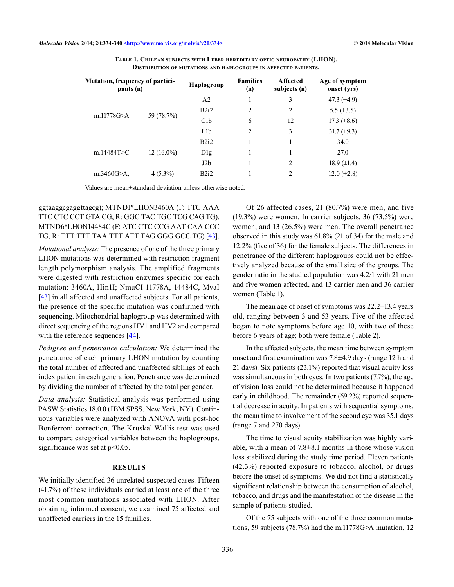| <b>DISTRIBUTION OF MUTATIONS AND HAPLOGROUPS IN AFFECTED PATIENTS.</b> |                                                                                                                  |            |                                                           |                |                               |  |  |  |  |  |
|------------------------------------------------------------------------|------------------------------------------------------------------------------------------------------------------|------------|-----------------------------------------------------------|----------------|-------------------------------|--|--|--|--|--|
| Mutation, frequency of partici-<br>pants (n)                           |                                                                                                                  | Haplogroup | <b>Families</b><br><b>Affected</b><br>subjects (n)<br>(n) |                | Age of symptom<br>onset (yrs) |  |  |  |  |  |
|                                                                        | 3<br>A <sub>2</sub><br>B2i2<br>2<br>$\overline{c}$<br>59 (78.7%)<br>C1b<br>6<br>12<br>L1b<br>$\overline{2}$<br>3 |            |                                                           |                | 47.3 $(\pm 4.9)$              |  |  |  |  |  |
|                                                                        |                                                                                                                  |            | 5.5 $(\pm 3.5)$                                           |                |                               |  |  |  |  |  |
| m.11778G > A                                                           |                                                                                                                  |            |                                                           |                | 17.3 $(\pm 8.6)$              |  |  |  |  |  |
|                                                                        |                                                                                                                  |            |                                                           |                | 31.7 $(\pm 9.3)$              |  |  |  |  |  |
| m.14484T $>$ C                                                         | $12(16.0\%)$                                                                                                     | B2i2       |                                                           |                | 34.0                          |  |  |  |  |  |
|                                                                        |                                                                                                                  | Dlg        |                                                           |                | 27.0                          |  |  |  |  |  |
|                                                                        |                                                                                                                  | J2b        |                                                           | $\overline{c}$ | 18.9 $(\pm 1.4)$              |  |  |  |  |  |
| m.3460G $> A$ ,                                                        | $4(5.3\%)$                                                                                                       | B2i2       |                                                           | 2              | 12.0 $(\pm 2.8)$              |  |  |  |  |  |

**Table 1. Chilean subjects with Leber hereditary optic neuropathy (LHON).** 

Values are mean±standard deviation unless otherwise noted.

## ggtaaggcgaggttagcg); MTND1\*LHON3460A (F: TTC AAA TTC CTC CCT GTA CG, R: GGC TAC TGC TCG CAG TG). MTND6\*LHON14484C (F: ATC CTC CCG AAT CAA CCC TG, R: TTT TTT TAA TTT ATT TAG GGG GCC TG) [\[43](#page-6-9)].

*Mutational analysis:* The presence of one of the three primary LHON mutations was determined with restriction fragment length polymorphism analysis. The amplified fragments were digested with restriction enzymes specific for each mutation: 3460A, Hin1I; NmuCI 11778A, 14484C, MvaI [\[43](#page-6-9)] in all affected and unaffected subjects. For all patients, the presence of the specific mutation was confirmed with sequencing. Mitochondrial haplogroup was determined with direct sequencing of the regions HV1 and HV2 and compared with the reference sequences [\[44\]](#page-6-10).

*Pedigree and penetrance calculation:* We determined the penetrance of each primary LHON mutation by counting the total number of affected and unaffected siblings of each index patient in each generation. Penetrance was determined by dividing the number of affected by the total per gender.

*Data analysis:* Statistical analysis was performed using PASW Statistics 18.0.0 (IBM SPSS, New York, NY). Continuous variables were analyzed with ANOVA with post-hoc Bonferroni correction. The Kruskal-Wallis test was used to compare categorical variables between the haplogroups, significance was set at  $p<0.05$ .

#### **RESULTS**

We initially identified 36 unrelated suspected cases. Fifteen (41.7%) of these individuals carried at least one of the three most common mutations associated with LHON. After obtaining informed consent, we examined 75 affected and unaffected carriers in the 15 families.

Of 26 affected cases, 21 (80.7%) were men, and five (19.3%) were women. In carrier subjects, 36 (73.5%) were women, and 13 (26.5%) were men. The overall penetrance observed in this study was 61.8% (21 of 34) for the male and 12.2% (five of 36) for the female subjects. The differences in penetrance of the different haplogroups could not be effectively analyzed because of the small size of the groups. The gender ratio in the studied population was 4.2/1 with 21 men and five women affected, and 13 carrier men and 36 carrier women (Table 1).

The mean age of onset of symptoms was 22.2±13.4 years old, ranging between 3 and 53 years. Five of the affected began to note symptoms before age 10, with two of these before 6 years of age; both were female (Table 2).

In the affected subjects, the mean time between symptom onset and first examination was 7.8±4.9 days (range 12 h and 21 days). Six patients (23.1%) reported that visual acuity loss was simultaneous in both eyes. In two patients (7.7%), the age of vision loss could not be determined because it happened early in childhood. The remainder (69.2%) reported sequential decrease in acuity. In patients with sequential symptoms, the mean time to involvement of the second eye was 35.1 days (range 7 and 270 days).

The time to visual acuity stabilization was highly variable, with a mean of 7.8±8.1 months in those whose vision loss stabilized during the study time period. Eleven patients (42.3%) reported exposure to tobacco, alcohol, or drugs before the onset of symptoms. We did not find a statistically significant relationship between the consumption of alcohol, tobacco, and drugs and the manifestation of the disease in the sample of patients studied.

Of the 75 subjects with one of the three common mutations, 59 subjects (78.7%) had the m.11778G>A mutation, 12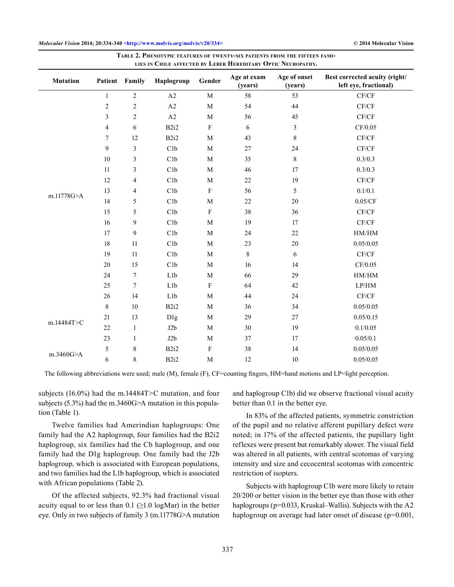| LIES IN CHILE AFFECTED BY LEBER HEREDITARY OPTIC NEUROPATHY. |                          |                  |                  |              |                        |                         |                                                        |  |  |  |
|--------------------------------------------------------------|--------------------------|------------------|------------------|--------------|------------------------|-------------------------|--------------------------------------------------------|--|--|--|
| <b>Mutation</b>                                              |                          | Patient Family   | Haplogroup       | Gender       | Age at exam<br>(years) | Age of onset<br>(years) | Best corrected acuity (right/<br>left eye, fractional) |  |  |  |
| m.11778G>A                                                   | $\mathbf{1}$             | $\sqrt{2}$       | A2               | $\mathbf M$  | 58                     | 53                      | $\mathrm{CF/CF}$                                       |  |  |  |
|                                                              | $\boldsymbol{2}$         | $\mathbf{2}$     | A2               | $\mathbf M$  | 54                     | 44                      | CF/CF                                                  |  |  |  |
|                                                              | 3                        | 2                | A2               | M            | 56                     | 45                      | CF/CF                                                  |  |  |  |
|                                                              | $\overline{\mathcal{L}}$ | 6                | B <sub>2i2</sub> | $\rm F$      | 6                      | $\mathfrak{Z}$          | CF/0.05                                                |  |  |  |
|                                                              | 7                        | 12               | B <sub>2i2</sub> | $\mathbf M$  | 43                     | $\,8\,$                 | $\mathrm{CF/CF}$                                       |  |  |  |
|                                                              | 9                        | 3                | C1b              | M            | 27                     | 24                      | CF/CF                                                  |  |  |  |
|                                                              | 10                       | 3                | C1b              | $\mathbf M$  | 35                     | $\,8\,$                 | 0.3/0.3                                                |  |  |  |
|                                                              | 11                       | 3                | C1b              | $\mathbf M$  | 46                     | 17                      | 0.3/0.3                                                |  |  |  |
|                                                              | 12                       | 4                | C1b              | $\mathbf M$  | 22                     | 19                      | CF/CF                                                  |  |  |  |
|                                                              | 13                       | 4                | C1b              | $\rm F$      | 56                     | 5                       | 0.1/0.1                                                |  |  |  |
|                                                              | 14                       | 5                | C1b              | $\mathbf M$  | 22                     | 20                      | 0.05/CF                                                |  |  |  |
|                                                              | 15                       | 5                | C1b              | $\rm F$      | 38                     | 36                      | CF/CF                                                  |  |  |  |
|                                                              | 16                       | $\boldsymbol{9}$ | C1b              | M            | 19                     | 17                      | CF/CF                                                  |  |  |  |
|                                                              | 17                       | 9                | C1b              | $\mathbf{M}$ | 24                     | 22                      | HM/HM                                                  |  |  |  |
|                                                              | 18                       | 11               | C1b              | $\mathbf M$  | 23                     | 20                      | 0.05/0.05                                              |  |  |  |
|                                                              | 19                       | 11               | C1b              | $\mathbf{M}$ | $\,8\,$                | 6                       | CF/CF                                                  |  |  |  |
|                                                              | 20                       | 15               | C1b              | $\mathbf M$  | 16                     | 14                      | CF/0.05                                                |  |  |  |
|                                                              | 24                       | $\boldsymbol{7}$ | L1b              | $\mathbf M$  | 66                     | 29                      | HM/HM                                                  |  |  |  |
|                                                              | 25                       | 7                | L1b              | $\rm F$      | 64                     | 42                      | $\operatorname{LP/HM}$                                 |  |  |  |
|                                                              | 26                       | 14               | L <sub>1</sub> b | M            | 44                     | 24                      | CF/CF                                                  |  |  |  |
| m.14484T>C                                                   | $\,$ 8 $\,$              | 10               | B2i2             | $\mathbf M$  | 36                     | 34                      | 0.05/0.05                                              |  |  |  |
|                                                              | 21                       | 13               | D <sub>1g</sub>  | $\mathbf M$  | 29                     | 27                      | 0.05/0.15                                              |  |  |  |
|                                                              | 22                       | $\mathbf{1}$     | J2b              | $\mathbf M$  | 30                     | 19                      | 0.1/0.05                                               |  |  |  |
|                                                              | 23                       | 1                | J2b              | $\mathbf{M}$ | 37                     | 17                      | 0.05/0.1                                               |  |  |  |
| m.3460G>A                                                    | 5                        | $\,$ $\,$        | B2i2             | $\rm F$      | 38                     | 14                      | 0.05/0.05                                              |  |  |  |
|                                                              | 6                        | $\,8\,$          | B2i2             | M            | 12                     | 10                      | 0.05/0.05                                              |  |  |  |

**Table 2. Phenotypic features of twenty-six patients from the fifteen families in Chile affected by Leber Hereditary Optic Neuropathy.**

The following abbreviations were used; male (M), female (F), CF=counting fingers, HM=hand motions and LP=light perception.

subjects (16.0%) had the m.14484T>C mutation, and four subjects (5.3%) had the m.3460G>A mutation in this population (Table 1).

Twelve families had Amerindian haplogroups: One family had the A2 haplogroup, four families had the B2i2 haplogroup, six families had the Cb haplogroup, and one family had the D1g haplogroup. One family had the J2b haplogroup, which is associated with European populations, and two families had the L1b haplogroup, which is associated with African populations (Table 2).

Of the affected subjects, 92.3% had fractional visual acuity equal to or less than 0.1 ( $\geq$ 1.0 logMar) in the better eye. Only in two subjects of family 3 (m.11778G>A mutation

and haplogroup C1b) did we observe fractional visual acuity better than 0.1 in the better eye.

In 83% of the affected patients, symmetric constriction of the pupil and no relative afferent pupillary defect were noted; in 17% of the affected patients, the pupillary light reflexes were present but remarkably slower. The visual field was altered in all patients, with central scotomas of varying intensity and size and cecocentral scotomas with concentric restriction of isopters.

Subjects with haplogroup C1b were more likely to retain 20/200 or better vision in the better eye than those with other haplogroups (p=0.033, Kruskal–Wallis). Subjects with the A2 haplogroup on average had later onset of disease (p=0.001,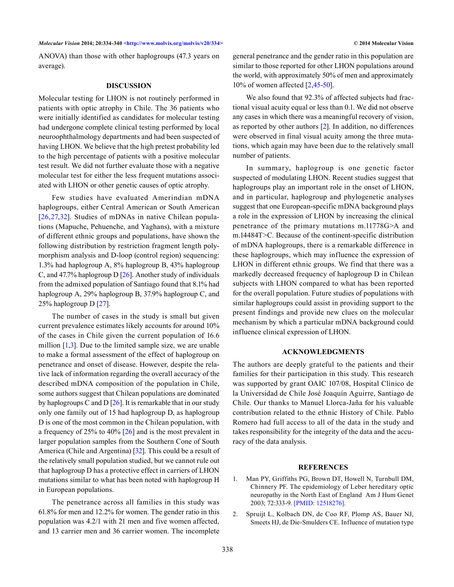ANOVA) than those with other haplogroups (47.3 years on average).

#### **DISCUSSION**

Molecular testing for LHON is not routinely performed in patients with optic atrophy in Chile. The 36 patients who were initially identified as candidates for molecular testing had undergone complete clinical testing performed by local neuroophthalmology departments and had been suspected of having LHON. We believe that the high pretest probability led to the high percentage of patients with a positive molecular test result. We did not further evaluate those with a negative molecular test for either the less frequent mutations associated with LHON or other genetic causes of optic atrophy.

Few studies have evaluated Amerindian mDNA haplogroups, either Central American or South American [\[26,](#page-5-19)[27](#page-5-21),[32\]](#page-6-1). Studies of mDNAs in native Chilean populations (Mapuche, Pehuenche, and Yaghans), with a mixture of different ethnic groups and populations, have shown the following distribution by restriction fragment length polymorphism analysis and D-loop (control region) sequencing: 1.3% had haplogroup A, 8% haplogroup B, 43% haplogroup C, and 47.7% haplogroup D [\[26\]](#page-5-19). Another study of individuals from the admixed population of Santiago found that 8.1% had haplogroup A, 29% haplogroup B, 37.9% haplogroup C, and 25% haplogroup D [[27](#page-5-21)].

The number of cases in the study is small but given current prevalence estimates likely accounts for around 10% of the cases in Chile given the current population of 16.6 million  $[1,3]$  $[1,3]$  $[1,3]$  $[1,3]$  $[1,3]$ . Due to the limited sample size, we are unable to make a formal assessment of the effect of haplogroup on penetrance and onset of disease. However, despite the relative lack of information regarding the overall accuracy of the described mDNA composition of the population in Chile, some authors suggest that Chilean populations are dominated by haplogroups C and D  $[26]$  $[26]$ . It is remarkable that in our study only one family out of 15 had haplogroup D, as haplogroup D is one of the most common in the Chilean population, with a frequency of 25% to 40% [\[26](#page-5-19)] and is the most prevalent in larger population samples from the Southern Cone of South America (Chile and Argentina) [\[32\]](#page-6-1). This could be a result of the relatively small population studied, but we cannot rule out that haplogroup D has a protective effect in carriers of LHON mutations similar to what has been noted with haplogroup H in European populations.

The penetrance across all families in this study was 61.8% for men and 12.2% for women. The gender ratio in this population was 4.2/1 with 21 men and five women affected, and 13 carrier men and 36 carrier women. The incomplete general penetrance and the gender ratio in this population are similar to those reported for other LHON populations around the world, with approximately 50% of men and approximately 10% of women affected [\[2](#page-4-1),[45-](#page-6-11)[50](#page-6-12)].

We also found that 92.3% of affected subjects had fractional visual acuity equal or less than 0.1. We did not observe any cases in which there was a meaningful recovery of vision, as reported by other authors  $[2]$  $[2]$  $[2]$ . In addition, no differences were observed in final visual acuity among the three mutations, which again may have been due to the relatively small number of patients.

In summary, haplogroup is one genetic factor suspected of modulating LHON. Recent studies suggest that haplogroups play an important role in the onset of LHON, and in particular, haplogroup and phylogenetic analyses suggest that one European-specific mDNA background plays a role in the expression of LHON by increasing the clinical penetrance of the primary mutations m.11778G>A and m.14484T>C. Because of the continent-specific distribution of mDNA haplogroups, there is a remarkable difference in these haplogroups, which may influence the expression of LHON in different ethnic groups. We find that there was a markedly decreased frequency of haplogroup D in Chilean subjects with LHON compared to what has been reported for the overall population. Future studies of populations with similar haplogroups could assist in providing support to the present findings and provide new clues on the molecular mechanism by which a particular mDNA background could influence clinical expression of LHON.

### **ACKNOWLEDGMENTS**

The authors are deeply grateful to the patients and their families for their participation in this study. This research was supported by grant OAIC 107/08, Hospital Clínico de la Universidad de Chile José Joaquín Aguirre, Santiago de Chile. Our thanks to Manuel Llorca-Jaña for his valuable contribution related to the ethnic History of Chile. Pablo Romero had full access to all of the data in the study and takes responsibility for the integrity of the data and the accuracy of the data analysis.

#### **REFERENCES**

- <span id="page-4-0"></span>1. Man PY, Griffiths PG, Brown DT, Howell N, Turnbull DM, Chinnery PF. The epidemiology of Leber hereditary optic neuropathy in the North East of England Am J Hum Genet 2003; 72:333-9. [\[PMID: 12518276\]](http://www.ncbi.nlm.nih.gov/pubmed/12518276).
- <span id="page-4-1"></span>2. Spruijt L, Kolbach DN, de Coo RF, Plomp AS, Bauer NJ, Smeets HJ, de Die-Smulders CE. Influence of mutation type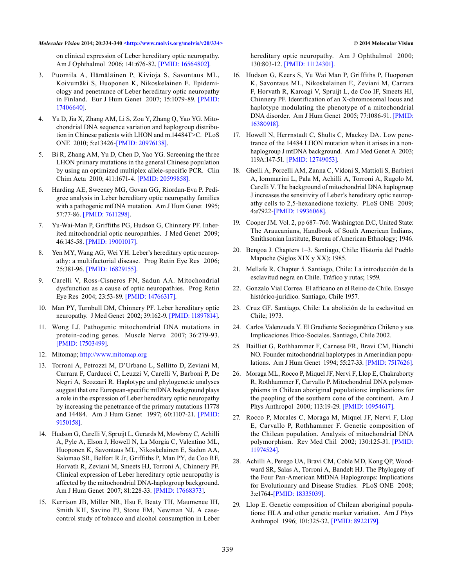<span id="page-5-1"></span>on clinical expression of Leber hereditary optic neuropathy. Am J Ophthalmol 2006; 141:676-82. [\[PMID: 16564802\]](http://www.ncbi.nlm.nih.gov/pubmed/16564802).

- 3. Puomila A, Hämäläinen P, Kivioja S, Savontaus ML, Koivumäki S, Huoponen K, Nikoskelainen E. Epidemiology and penetrance of Leber hereditary optic neuropathy in Finland. Eur J Hum Genet 2007; 15:1079-89. [\[PMID:](http://www.ncbi.nlm.nih.gov/pubmed/17406640)  [17406640\]](http://www.ncbi.nlm.nih.gov/pubmed/17406640).
- <span id="page-5-20"></span>4. Yu D, Jia X, Zhang AM, Li S, Zou Y, Zhang Q, Yao YG. Mitochondrial DNA sequence variation and haplogroup distribution in Chinese patients with LHON and m.14484T>C. PLoS ONE 2010; 5:e13426[-\[PMID: 20976138\].](http://www.ncbi.nlm.nih.gov/pubmed/20976138)
- <span id="page-5-0"></span>5. Bi R, Zhang AM, Yu D, Chen D, Yao YG. Screening the three LHON primary mutations in the general Chinese population by using an optimized multiplex allele-specific PCR. Clin Chim Acta 2010; 411:1671-4. [\[PMID: 20599858\]](http://www.ncbi.nlm.nih.gov/pubmed/20599858).
- <span id="page-5-2"></span>6. Harding AE, Sweeney MG, Govan GG, Riordan-Eva P. Pedigree analysis in Leber hereditary optic neuropathy families with a pathogenic mtDNA mutation. Am J Hum Genet 1995; 57:77-86. [\[PMID: 7611298\].](http://www.ncbi.nlm.nih.gov/pubmed/7611298)
- 7. Yu-Wai-Man P, Griffiths PG, Hudson G, Chinnery PF. Inherited mitochondrial optic neuropathies. J Med Genet 2009; 46:145-58. [\[PMID: 19001017\].](http://www.ncbi.nlm.nih.gov/pubmed/19001017)
- 8. Yen MY, Wang AG, Wei YH. Leber's hereditary optic neuropathy: a multifactorial disease. Prog Retin Eye Res 2006; 25:381-96. [\[PMID: 16829155\].](http://www.ncbi.nlm.nih.gov/pubmed/16829155)
- 9. Carelli V, Ross-Cisneros FN, Sadun AA. Mitochondrial dysfunction as a cause of optic neuropathies. Prog Retin Eye Res 2004; 23:53-89. [\[PMID: 14766317\]](http://www.ncbi.nlm.nih.gov/pubmed/14766317).
- <span id="page-5-3"></span>10. Man PY, Turnbull DM, Chinnery PF. Leber hereditary optic neuropathy. J Med Genet 2002; 39:162-9. [\[PMID: 11897814\].](http://www.ncbi.nlm.nih.gov/pubmed/11897814)
- <span id="page-5-4"></span>11. Wong LJ. Pathogenic mitochondrial DNA mutations in protein-coding genes. Muscle Nerve 2007; 36:279-93. [\[PMID: 17503499\]](http://www.ncbi.nlm.nih.gov/pubmed/17503499).
- <span id="page-5-5"></span>12. Mitomap;<http://www.mitomap.org>
- <span id="page-5-6"></span>13. Torroni A, Petrozzi M, D'Urbano L, Sellitto D, Zeviani M, Carrara F, Carducci C, Leuzzi V, Carelli V, Barboni P, De Negri A, Scozzari R. Haplotype and phylogenetic analyses suggest that one European-specific mtDNA background plays a role in the expression of Leber hereditary optic neuropathy by increasing the penetrance of the primary mutations 11778 and 14484. Am J Hum Genet 1997; 60:1107-21. [\[PMID:](http://www.ncbi.nlm.nih.gov/pubmed/9150158)  [9150158\]](http://www.ncbi.nlm.nih.gov/pubmed/9150158).
- <span id="page-5-9"></span>14. Hudson G, Carelli V, Spruijt L, Gerards M, Mowbray C, Achilli A, Pyle A, Elson J, Howell N, La Morgia C, Valentino ML, Huoponen K, Savontaus ML, Nikoskelainen E, Sadun AA, Salomao SR, Belfort R Jr, Griffiths P, Man PY, de Coo RF, Horvath R, Zeviani M, Smeets HJ, Torroni A, Chinnery PF. Clinical expression of Leber hereditary optic neuropathy is affected by the mitochondrial DNA-haplogroup background. Am J Hum Genet 2007; 81:228-33. [\[PMID: 17668373\].](http://www.ncbi.nlm.nih.gov/pubmed/17668373)
- <span id="page-5-7"></span>15. Kerrison JB, Miller NR, Hsu F, Beaty TH, Maumenee IH, Smith KH, Savino PJ, Stone EM, Newman NJ. A casecontrol study of tobacco and alcohol consumption in Leber

<span id="page-5-8"></span>hereditary optic neuropathy. Am J Ophthalmol 2000; 130:803-12. [\[PMID: 11124301\].](http://www.ncbi.nlm.nih.gov/pubmed/11124301)

- 16. Hudson G, Keers S, Yu Wai Man P, Griffiths P, Huoponen K, Savontaus ML, Nikoskelainen E, Zeviani M, Carrara F, Horvath R, Karcagi V, Spruijt L, de Coo IF, Smeets HJ, Chinnery PF. Identification of an X-chromosomal locus and haplotype modulating the phenotype of a mitochondrial DNA disorder. Am J Hum Genet 2005; 77:1086-91. [\[PMID:](http://www.ncbi.nlm.nih.gov/pubmed/16380918)  [16380918\]](http://www.ncbi.nlm.nih.gov/pubmed/16380918).
- <span id="page-5-10"></span>17. Howell N, Herrnstadt C, Shults C, Mackey DA. Low penetrance of the 14484 LHON mutation when it arises in a nonhaplogroup J mtDNA background. Am J Med Genet A 2003; 119A:147-51. [\[PMID: 12749053\].](http://www.ncbi.nlm.nih.gov/pubmed/12749053)
- <span id="page-5-11"></span>18. Ghelli A, Porcelli AM, Zanna C, Vidoni S, Mattioli S, Barbieri A, Iommarini L, Pala M, Achilli A, Torroni A, Rugolo M, Carelli V. The background of mitochondrial DNA haplogroup J increases the sensitivity of Leber's hereditary optic neuropathy cells to 2,5-hexanedione toxicity. PLoS ONE 2009; 4:e7922[-\[PMID: 19936068\]](http://www.ncbi.nlm.nih.gov/pubmed/19936068).
- <span id="page-5-12"></span>19. Cooper JM. Vol. 2, pp 687–760. Washington D.C, United State: The Araucanians, Handbook of South American Indians, Smithsonian Institute, Bureau of American Ethnology; 1946.
- <span id="page-5-13"></span>20. Bengoa J. Chapters 1–3. Santiago, Chile: Historia del Pueblo Mapuche (Siglos XIX y XX); 1985.
- <span id="page-5-14"></span>21. Mellafe R. Chapter 5. Santiago, Chile: La introducción de la esclavitud negra en Chile. Tráfico y rutas; 1959.
- 22. Gonzalo Vial Correa. El africano en el Reino de Chile. Ensayo histórico-jurídico. Santiago, Chile 1957.
- <span id="page-5-15"></span>23. Cruz GF. Santiago, Chile: La abolición de la esclavitud en Chile; 1973.
- <span id="page-5-16"></span>24. Carlos Valenzuela Y. El Gradiente Sociogenético Chileno y sus Implicaciones Etico-Sociales. Santiago, Chile 2002.
- <span id="page-5-17"></span>25. Bailliet G, Rothhammer F, Carnese FR, Bravi CM, Bianchi NO. Founder mitochondrial haplotypes in Amerindian populations. Am J Hum Genet 1994; 55:27-33. [\[PMID: 7517626\].](http://www.ncbi.nlm.nih.gov/pubmed/7517626)
- <span id="page-5-19"></span>26. Moraga ML, Rocco P, Miquel JF, Nervi F, Llop E, Chakraborty R, Rothhammer F, Carvallo P. Mitochondrial DNA polymorphisms in Chilean aboriginal populations: implications for the peopling of the southern cone of the continent. Am J Phys Anthropol 2000; 113:19-29. [\[PMID: 10954617\]](http://www.ncbi.nlm.nih.gov/pubmed/10954617).
- <span id="page-5-21"></span>27. Rocco P, Morales C, Moraga M, Miquel JF, Nervi F, Llop E, Carvallo P, Rothhammer F. Genetic composition of the Chilean population. Analysis of mitochondrial DNA polymorphism. Rev Med Chil 2002; 130:125-31. [\[PMID:](http://www.ncbi.nlm.nih.gov/pubmed/11974524) [11974524\].](http://www.ncbi.nlm.nih.gov/pubmed/11974524)
- <span id="page-5-18"></span>28. Achilli A, Perego UA, Bravi CM, Coble MD, Kong QP, Woodward SR, Salas A, Torroni A, Bandelt HJ. The Phylogeny of the Four Pan-American MtDNA Haplogroups: Implications for Evolutionary and Disease Studies. PLoS ONE 2008; 3:e1764-[\[PMID: 18335039\]](http://www.ncbi.nlm.nih.gov/pubmed/18335039).
- 29. Llop E. Genetic composition of Chilean aboriginal populations: HLA and other genetic marker variation. Am J Phys Anthropol 1996; 101:325-32. [\[PMID: 8922179\]](http://www.ncbi.nlm.nih.gov/pubmed/8922179).